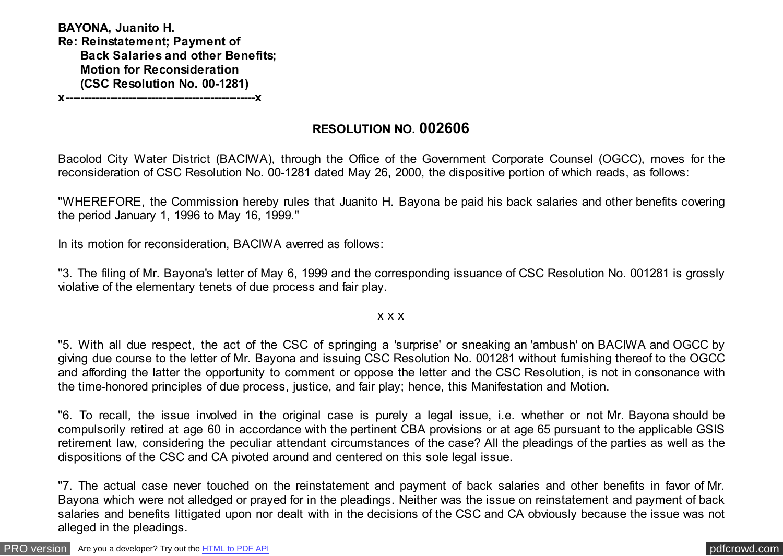**BAYONA, Juanito H. Re: Reinstatement; Payment of Back Salaries and other Benefits; Motion for Reconsideration (CSC Resolution No. 00-1281)**

**x---------------------------------------------------x**

# **RESOLUTION NO. 002606**

Bacolod City Water District (BACIWA), through the Office of the Government Corporate Counsel (OGCC), moves for the reconsideration of CSC Resolution No. 00-1281 dated May 26, 2000, the dispositive portion of which reads, as follows:

"WHEREFORE, the Commission hereby rules that Juanito H. Bayona be paid his back salaries and other benefits covering the period January 1, 1996 to May 16, 1999."

In its motion for reconsideration, BACIWA averred as follows:

"3. The filing of Mr. Bayona's letter of May 6, 1999 and the corresponding issuance of CSC Resolution No. 001281 is grossly violative of the elementary tenets of due process and fair play.

x x x

"5. With all due respect, the act of the CSC of springing a 'surprise' or sneaking an 'ambush' on BACIWA and OGCC by giving due course to the letter of Mr. Bayona and issuing CSC Resolution No. 001281 without furnishing thereof to the OGCC and affording the latter the opportunity to comment or oppose the letter and the CSC Resolution, is not in consonance with the time-honored principles of due process, justice, and fair play; hence, this Manifestation and Motion.

"6. To recall, the issue involved in the original case is purely a legal issue, i.e. whether or not Mr. Bayona should be compulsorily retired at age 60 in accordance with the pertinent CBA provisions or at age 65 pursuant to the applicable GSIS retirement law, considering the peculiar attendant circumstances of the case? All the pleadings of the parties as well as the dispositions of the CSC and CA pivoted around and centered on this sole legal issue.

"7. The actual case never touched on the reinstatement and payment of back salaries and other benefits in favor of Mr. Bayona which were not alledged or prayed for in the pleadings. Neither was the issue on reinstatement and payment of back salaries and benefits littigated upon nor dealt with in the decisions of the CSC and CA obviously because the issue was not alleged in the pleadings.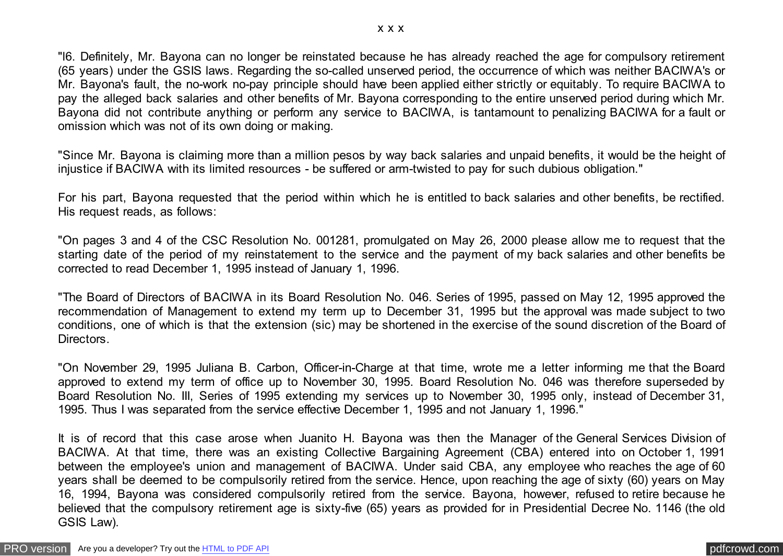"l6. Definitely, Mr. Bayona can no longer be reinstated because he has already reached the age for compulsory retirement (65 years) under the GSIS laws. Regarding the so-called unserved period, the occurrence of which was neither BACIWA's or Mr. Bayona's fault, the no-work no-pay principle should have been applied either strictly or equitably. To require BACIWA to pay the alleged back salaries and other benefits of Mr. Bayona corresponding to the entire unserved period during which Mr. Bayona did not contribute anything or perform any service to BACIWA, is tantamount to penalizing BACIWA for a fault or omission which was not of its own doing or making.

"Since Mr. Bayona is claiming more than a million pesos by way back salaries and unpaid benefits, it would be the height of injustice if BACIWA with its limited resources - be suffered or arm-twisted to pay for such dubious obligation."

For his part, Bayona requested that the period within which he is entitled to back salaries and other benefits, be rectified. His request reads, as follows:

"On pages 3 and 4 of the CSC Resolution No. 001281, promulgated on May 26, 2000 please allow me to request that the starting date of the period of my reinstatement to the service and the payment of my back salaries and other benefits be corrected to read December 1, 1995 instead of January 1, 1996.

"The Board of Directors of BACIWA in its Board Resolution No. 046. Series of 1995, passed on May 12, 1995 approved the recommendation of Management to extend my term up to December 31, 1995 but the approval was made subject to two conditions, one of which is that the extension (sic) may be shortened in the exercise of the sound discretion of the Board of Directors.

"On November 29, 1995 Juliana B. Carbon, Officer-in-Charge at that time, wrote me a letter informing me that the Board approved to extend my term of office up to November 30, 1995. Board Resolution No. 046 was therefore superseded by Board Resolution No. III, Series of 1995 extending my services up to November 30, 1995 only, instead of December 31, 1995. Thus I was separated from the service effective December 1, 1995 and not January 1, 1996."

It is of record that this case arose when Juanito H. Bayona was then the Manager of the General Services Division of BACIWA. At that time, there was an existing Collective Bargaining Agreement (CBA) entered into on October 1, 1991 between the employee's union and management of BACIWA. Under said CBA, any employee who reaches the age of 60 years shall be deemed to be compulsorily retired from the service. Hence, upon reaching the age of sixty (60) years on May 16, 1994, Bayona was considered compulsorily retired from the service. Bayona, however, refused to retire because he believed that the compulsory retirement age is sixty-five (65) years as provided for in Presidential Decree No. 1146 (the old GSIS Law).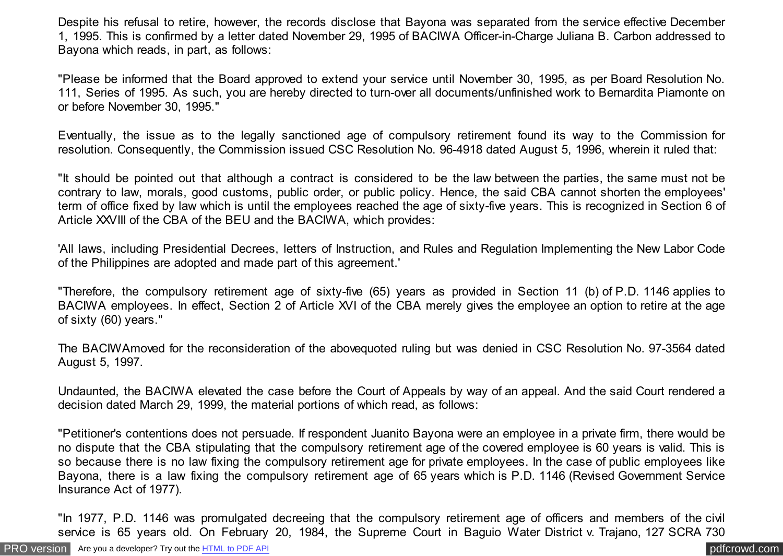Despite his refusal to retire, however, the records disclose that Bayona was separated from the service effective December 1, 1995. This is confirmed by a letter dated November 29, 1995 of BACIWA Officer-in-Charge Juliana B. Carbon addressed to Bayona which reads, in part, as follows:

"Please be informed that the Board approved to extend your service until November 30, 1995, as per Board Resolution No. 111, Series of 1995. As such, you are hereby directed to turn-over all documents/unfinished work to Bernardita Piamonte on or before November 30, 1995."

Eventually, the issue as to the legally sanctioned age of compulsory retirement found its way to the Commission for resolution. Consequently, the Commission issued CSC Resolution No. 96-4918 dated August 5, 1996, wherein it ruled that:

"It should be pointed out that although a contract is considered to be the law between the parties, the same must not be contrary to law, morals, good customs, public order, or public policy. Hence, the said CBA cannot shorten the employees' term of office fixed by law which is until the employees reached the age of sixty-five years. This is recognized in Section 6 of Article XXVIII of the CBA of the BEU and the BACIWA, which provides:

'All laws, including Presidential Decrees, letters of Instruction, and Rules and Regulation Implementing the New Labor Code of the Philippines are adopted and made part of this agreement.'

"Therefore, the compulsory retirement age of sixty-five (65) years as provided in Section 11 (b) of P.D. 1146 applies to BACIWA employees. In effect, Section 2 of Article XVI of the CBA merely gives the employee an option to retire at the age of sixty (60) years."

The BACIWAmoved for the reconsideration of the abovequoted ruling but was denied in CSC Resolution No. 97-3564 dated August 5, 1997.

Undaunted, the BACIWA elevated the case before the Court of Appeals by way of an appeal. And the said Court rendered a decision dated March 29, 1999, the material portions of which read, as follows:

"Petitioner's contentions does not persuade. If respondent Juanito Bayona were an employee in a private firm, there would be no dispute that the CBA stipulating that the compulsory retirement age of the covered employee is 60 years is valid. This is so because there is no law fixing the compulsory retirement age for private employees. In the case of public employees like Bayona, there is a law fixing the compulsory retirement age of 65 years which is P.D. 1146 (Revised Government Service Insurance Act of 1977).

"In 1977, P.D. 1146 was promulgated decreeing that the compulsory retirement age of officers and members of the civil service is 65 years old. On February 20, 1984, the Supreme Court in Baguio Water District v. Trajano, 127 SCRA 730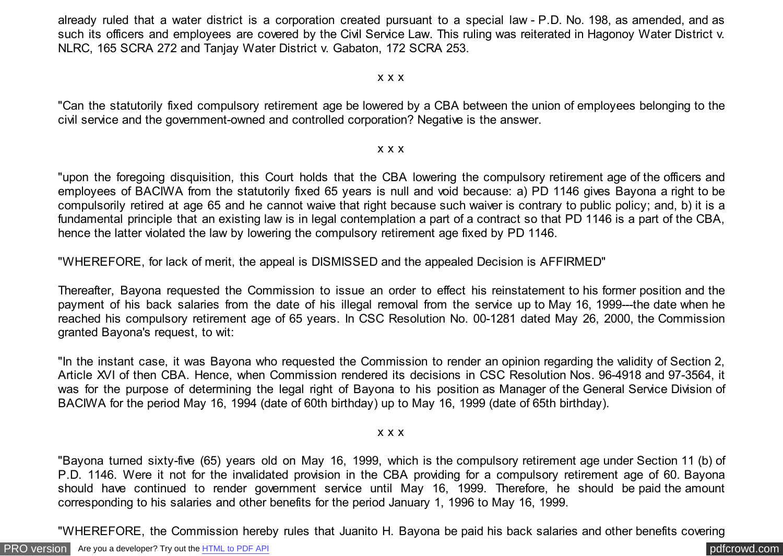already ruled that a water district is a corporation created pursuant to a special law - P.D. No. 198, as amended, and as such its officers and employees are covered by the Civil Service Law. This ruling was reiterated in Hagonoy Water District v. NLRC, 165 SCRA 272 and Tanjay Water District v. Gabaton, 172 SCRA 253.

x x x

"Can the statutorily fixed compulsory retirement age be lowered by a CBA between the union of employees belonging to the civil service and the government-owned and controlled corporation? Negative is the answer.

#### x x x

"upon the foregoing disquisition, this Court holds that the CBA lowering the compulsory retirement age of the officers and employees of BACIWA from the statutorily fixed 65 years is null and void because: a) PD 1146 gives Bayona a right to be compulsorily retired at age 65 and he cannot waive that right because such waiver is contrary to public policy; and, b) it is a fundamental principle that an existing law is in legal contemplation a part of a contract so that PD 1146 is a part of the CBA, hence the latter violated the law by lowering the compulsory retirement age fixed by PD 1146.

"WHEREFORE, for lack of merit, the appeal is DISMISSED and the appealed Decision is AFFIRMED"

Thereafter, Bayona requested the Commission to issue an order to effect his reinstatement to his former position and the payment of his back salaries from the date of his illegal removal from the service up to May 16, 1999---the date when he reached his compulsory retirement age of 65 years. In CSC Resolution No. 00-1281 dated May 26, 2000, the Commission granted Bayona's request, to wit:

"In the instant case, it was Bayona who requested the Commission to render an opinion regarding the validity of Section 2, Article XVI of then CBA. Hence, when Commission rendered its decisions in CSC Resolution Nos. 96-4918 and 97-3564, it was for the purpose of determining the legal right of Bayona to his position as Manager of the General Service Division of BACIWA for the period May 16, 1994 (date of 60th birthday) up to May 16, 1999 (date of 65th birthday).

#### x x x

"Bayona turned sixty-five (65) years old on May 16, 1999, which is the compulsory retirement age under Section 11 (b) of P.D. 1146. Were it not for the invalidated provision in the CBA providing for a compulsory retirement age of 60. Bayona should have continued to render government service until May 16, 1999. Therefore, he should be paid the amount corresponding to his salaries and other benefits for the period January 1, 1996 to May 16, 1999.

"WHEREFORE, the Commission hereby rules that Juanito H. Bayona be paid his back salaries and other benefits covering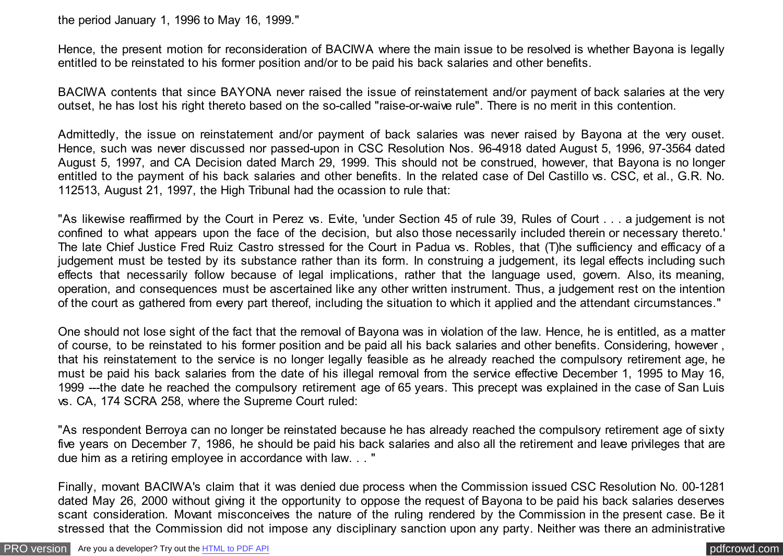the period January 1, 1996 to May 16, 1999."

Hence, the present motion for reconsideration of BACIWA where the main issue to be resolved is whether Bayona is legally entitled to be reinstated to his former position and/or to be paid his back salaries and other benefits.

BACIWA contents that since BAYONA never raised the issue of reinstatement and/or payment of back salaries at the very outset, he has lost his right thereto based on the so-called "raise-or-waive rule". There is no merit in this contention.

Admittedly, the issue on reinstatement and/or payment of back salaries was never raised by Bayona at the very ouset. Hence, such was never discussed nor passed-upon in CSC Resolution Nos. 96-4918 dated August 5, 1996, 97-3564 dated August 5, 1997, and CA Decision dated March 29, 1999. This should not be construed, however, that Bayona is no longer entitled to the payment of his back salaries and other benefits. In the related case of Del Castillo vs. CSC, et al., G.R. No. 112513, August 21, 1997, the High Tribunal had the ocassion to rule that:

"As likewise reaffirmed by the Court in Perez vs. Evite, 'under Section 45 of rule 39, Rules of Court . . . a judgement is not confined to what appears upon the face of the decision, but also those necessarily included therein or necessary thereto.' The late Chief Justice Fred Ruiz Castro stressed for the Court in Padua vs. Robles, that (T)he sufficiency and efficacy of a judgement must be tested by its substance rather than its form. In construing a judgement, its legal effects including such effects that necessarily follow because of legal implications, rather that the language used, govern. Also, its meaning, operation, and consequences must be ascertained like any other written instrument. Thus, a judgement rest on the intention of the court as gathered from every part thereof, including the situation to which it applied and the attendant circumstances."

One should not lose sight of the fact that the removal of Bayona was in violation of the law. Hence, he is entitled, as a matter of course, to be reinstated to his former position and be paid all his back salaries and other benefits. Considering, however , that his reinstatement to the service is no longer legally feasible as he already reached the compulsory retirement age, he must be paid his back salaries from the date of his illegal removal from the service effective December 1, 1995 to May 16, 1999 ---the date he reached the compulsory retirement age of 65 years. This precept was explained in the case of San Luis vs. CA, 174 SCRA 258, where the Supreme Court ruled:

"As respondent Berroya can no longer be reinstated because he has already reached the compulsory retirement age of sixty five years on December 7, 1986, he should be paid his back salaries and also all the retirement and leave privileges that are due him as a retiring employee in accordance with law. . . "

Finally, movant BACIWA's claim that it was denied due process when the Commission issued CSC Resolution No. 00-1281 dated May 26, 2000 without giving it the opportunity to oppose the request of Bayona to be paid his back salaries deserves scant consideration. Movant misconceives the nature of the ruling rendered by the Commission in the present case. Be it stressed that the Commission did not impose any disciplinary sanction upon any party. Neither was there an administrative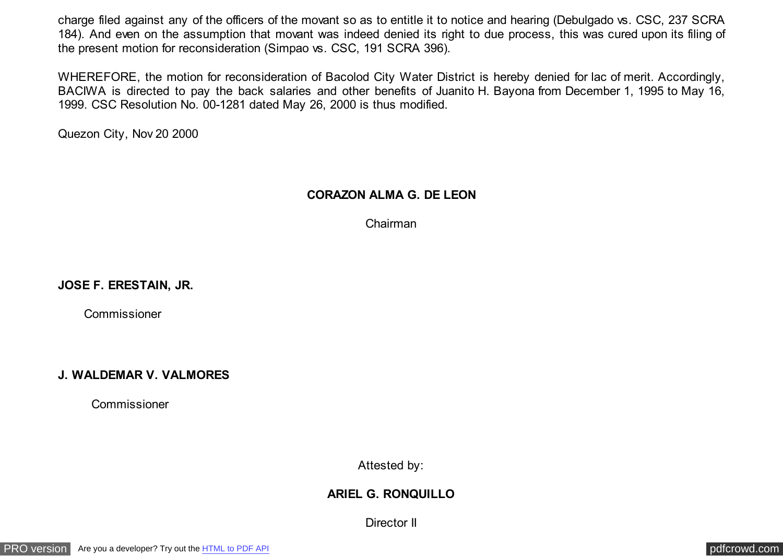charge filed against any of the officers of the movant so as to entitle it to notice and hearing (Debulgado vs. CSC, 237 SCRA 184). And even on the assumption that movant was indeed denied its right to due process, this was cured upon its filing of the present motion for reconsideration (Simpao vs. CSC, 191 SCRA 396).

WHEREFORE, the motion for reconsideration of Bacolod City Water District is hereby denied for lac of merit. Accordingly, BACIWA is directed to pay the back salaries and other benefits of Juanito H. Bayona from December 1, 1995 to May 16, 1999. CSC Resolution No. 00-1281 dated May 26, 2000 is thus modified.

Quezon City, Nov 20 2000

## **CORAZON ALMA G. DE LEON**

Chairman

**JOSE F. ERESTAIN, JR.**

Commissioner

## **J. WALDEMAR V. VALMORES**

Commissioner

Attested by:

## **ARIEL G. RONQUILLO**

Director II